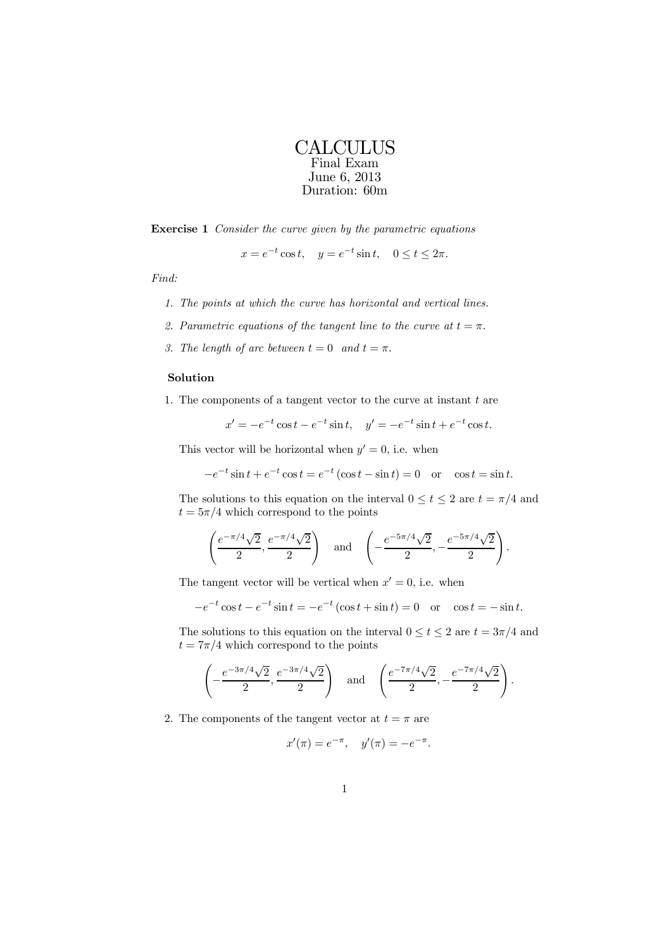## **CALCULUS** Final Exam June 6, 2013 Duration: 60m

Exercise 1 Consider the curve given by the parametric equations

$$
x = e^{-t} \cos t
$$
,  $y = e^{-t} \sin t$ ,  $0 \le t \le 2\pi$ .

Find:

- 1. The points at which the curve has horizontal and vertical lines.
- 2. Parametric equations of the tangent line to the curve at  $t = \pi$ .
- 3. The length of arc between  $t = 0$  and  $t = \pi$ .

## Solution

1. The components of a tangent vector to the curve at instant  $t$  are

$$
x' = -e^{-t} \cos t - e^{-t} \sin t, \quad y' = -e^{-t} \sin t + e^{-t} \cos t.
$$

This vector will be horizontal when  $y' = 0$ , i.e. when

$$
-e^{-t}\sin t + e^{-t}\cos t = e^{-t}(\cos t - \sin t) = 0 \text{ or } \cos t = \sin t.
$$

The solutions to this equation on the interval  $0 \le t \le 2$  are  $t = \pi/4$  and  $t = 5\pi/4$  which correspond to the points

$$
\left(\frac{e^{-\pi/4}\sqrt{2}}{2}, \frac{e^{-\pi/4}\sqrt{2}}{2}\right)
$$
 and  $\left(-\frac{e^{-5\pi/4}\sqrt{2}}{2}, -\frac{e^{-5\pi/4}\sqrt{2}}{2}\right)$ .

The tangent vector will be vertical when  $x' = 0$ , i.e. when

$$
-e^{-t}\cos t - e^{-t}\sin t = -e^{-t}(\cos t + \sin t) = 0 \text{ or } \cos t = -\sin t.
$$

The solutions to this equation on the interval  $0 \le t \le 2$  are  $t = 3\pi/4$  and  $t = 7\pi/4$  which correspond to the points

$$
\left(-\frac{e^{-3\pi/4}\sqrt{2}}{2}, \frac{e^{-3\pi/4}\sqrt{2}}{2}\right) \quad \text{and} \quad \left(\frac{e^{-7\pi/4}\sqrt{2}}{2}, -\frac{e^{-7\pi/4}\sqrt{2}}{2}\right).
$$

2. The components of the tangent vector at  $t = \pi$  are

$$
x'(\pi) = e^{-\pi}, \quad y'(\pi) = -e^{-\pi}.
$$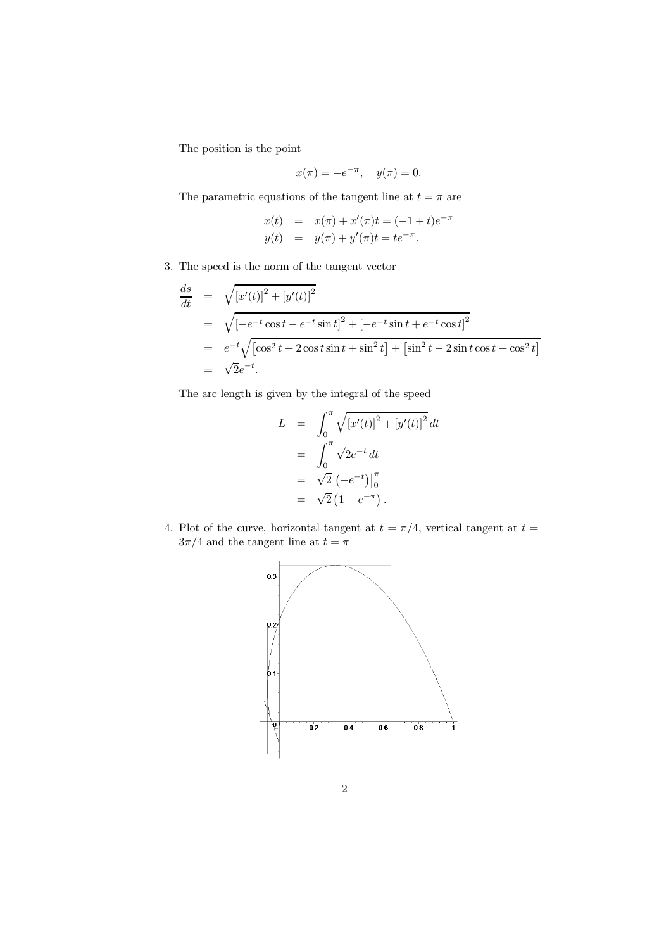The position is the point

$$
x(\pi) = -e^{-\pi}, \quad y(\pi) = 0.
$$

The parametric equations of the tangent line at  $t=\pi$  are

$$
x(t) = x(\pi) + x'(\pi)t = (-1+t)e^{-\pi}
$$
  

$$
y(t) = y(\pi) + y'(\pi)t = te^{-\pi}.
$$

3. The speed is the norm of the tangent vector

$$
\frac{ds}{dt} = \sqrt{[x'(t)]^2 + [y'(t)]^2}
$$
\n
$$
= \sqrt{[-e^{-t}\cos t - e^{-t}\sin t]^2 + [-e^{-t}\sin t + e^{-t}\cos t]^2}
$$
\n
$$
= e^{-t}\sqrt{[\cos^2 t + 2\cos t \sin t + \sin^2 t] + [\sin^2 t - 2\sin t \cos t + \cos^2 t]}
$$
\n
$$
= \sqrt{2}e^{-t}.
$$

The arc length is given by the integral of the speed

$$
L = \int_0^{\pi} \sqrt{[x'(t)]^2 + [y'(t)]^2} dt
$$
  
= 
$$
\int_0^{\pi} \sqrt{2} e^{-t} dt
$$
  
= 
$$
\sqrt{2} (-e^{-t}) \Big|_0^{\pi}
$$
  
= 
$$
\sqrt{2} (1 - e^{-\pi}).
$$

4. Plot of the curve, horizontal tangent at  $t = \pi/4$ , vertical tangent at  $t =$  $3\pi/4$  and the tangent line at  $t=\pi$ 

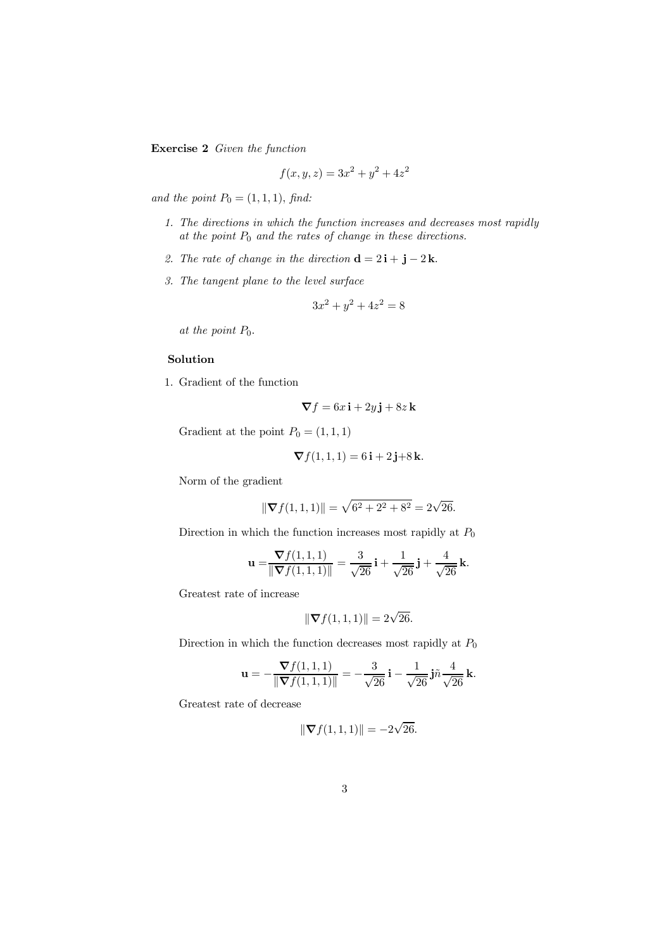Exercise 2 Given the function

$$
f(x, y, z) = 3x^2 + y^2 + 4z^2
$$

and the point  $P_0 = (1, 1, 1)$ , find:

- 1. The directions in which the function increases and decreases most rapidly at the point  $P_0$  and the rates of change in these directions.
- 2. The rate of change in the direction  $\mathbf{d} = 2\mathbf{i} + \mathbf{j} 2\mathbf{k}$ .
- 3. The tangent plane to the level surface

$$
3x^2 + y^2 + 4z^2 = 8
$$

at the point  $P_0$ .

## Solution

1. Gradient of the function

$$
\nabla f = 6x\,\mathbf{i} + 2y\,\mathbf{j} + 8z\,\mathbf{k}
$$

Gradient at the point  $P_0 = (1, 1, 1)$ 

$$
\nabla f(1,1,1) = 6\,\mathbf{i} + 2\,\mathbf{j} + 8\,\mathbf{k}.
$$

Norm of the gradient

$$
\|\nabla f(1,1,1)\| = \sqrt{6^2 + 2^2 + 8^2} = 2\sqrt{26}.
$$

Direction in which the function increases most rapidly at  $\mathcal{P}_0$ 

$$
\mathbf{u} = \frac{\nabla f(1,1,1)}{\|\nabla f(1,1,1)\|} = \frac{3}{\sqrt{26}}\,\mathbf{i} + \frac{1}{\sqrt{26}}\,\mathbf{j} + \frac{4}{\sqrt{26}}\,\mathbf{k}.
$$

Greatest rate of increase

$$
\|\nabla f(1,1,1)\| = 2\sqrt{26}.
$$

Direction in which the function decreases most rapidly at  $\mathcal{P}_0$ 

$$
\mathbf{u} = -\frac{\nabla f(1,1,1)}{\|\nabla f(1,1,1)\|} = -\frac{3}{\sqrt{26}}\,\mathbf{i} - \frac{1}{\sqrt{26}}\,\mathbf{j}\tilde{n}\frac{4}{\sqrt{26}}\,\mathbf{k}.
$$

Greatest rate of decrease

$$
\|\nabla f(1,1,1)\| = -2\sqrt{26}.
$$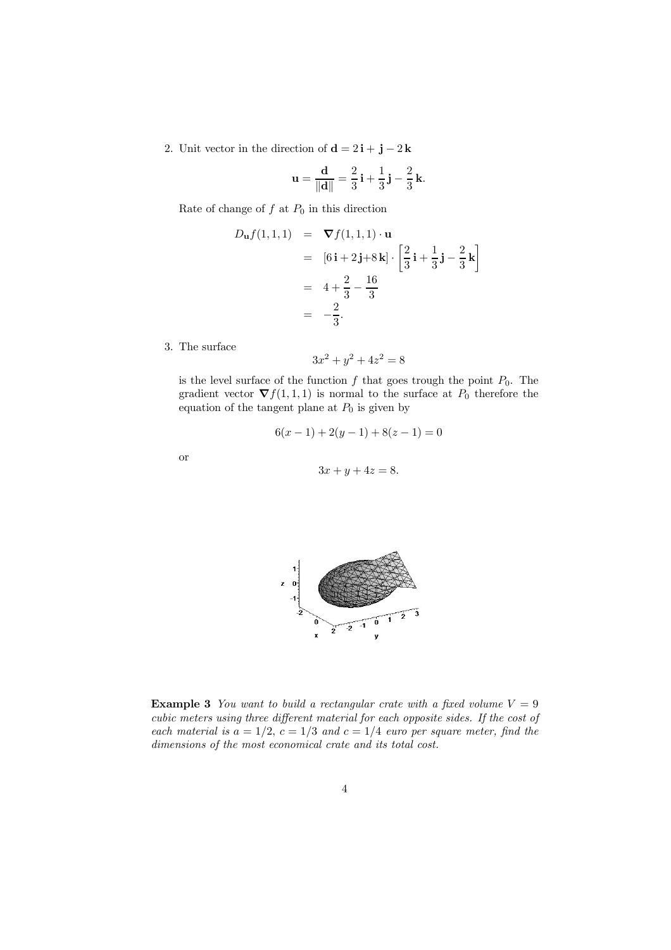2. Unit vector in the direction of  $\mathbf{d} = 2\mathbf{i} + \mathbf{j} - 2\mathbf{k}$ 

$$
\mathbf{u} = \frac{\mathbf{d}}{\|\mathbf{d}\|} = \frac{2}{3}\,\mathbf{i} + \frac{1}{3}\,\mathbf{j} - \frac{2}{3}\,\mathbf{k}.
$$

Rate of change of  $f$  at  $P_0$  in this direction

$$
D_{\mathbf{u}}f(1,1,1) = \nabla f(1,1,1) \cdot \mathbf{u}
$$
  
\n
$$
= [6\mathbf{i} + 2\mathbf{j} + 8\mathbf{k}] \cdot \left[\frac{2}{3}\mathbf{i} + \frac{1}{3}\mathbf{j} - \frac{2}{3}\mathbf{k}\right]
$$
  
\n
$$
= 4 + \frac{2}{3} - \frac{16}{3}
$$
  
\n
$$
= -\frac{2}{3}.
$$

3. The surface

$$
3x^2 + y^2 + 4z^2 = 8
$$

is the level surface of the function  $f$  that goes trough the point  $P_0$ . The gradient vector  $\nabla f(1,1,1)$  is normal to the surface at  $P_0$  therefore the equation of the tangent plane at  $P_0$  is given by

$$
6(x-1) + 2(y-1) + 8(z-1) = 0
$$

or

$$
3x + y + 4z = 8.
$$



**Example 3** You want to build a rectangular crate with a fixed volume  $V = 9$ cubic meters using three different material for each opposite sides. If the cost of each material is  $a = 1/2$ ,  $c = 1/3$  and  $c = 1/4$  euro per square meter, find the dimensions of the most economical crate and its total cost.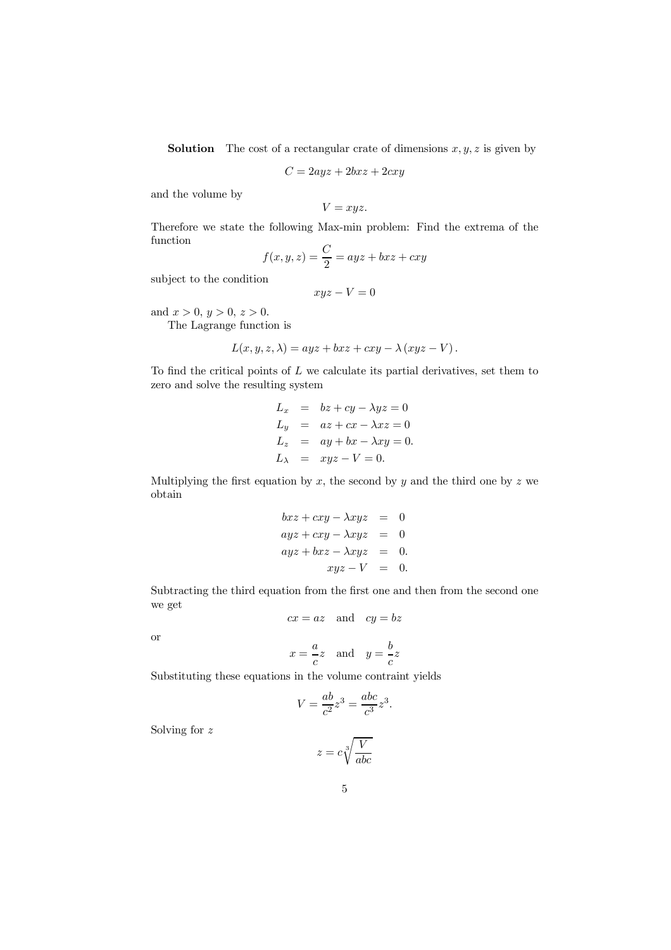**Solution** The cost of a rectangular crate of dimensions  $x, y, z$  is given by

$$
C = 2ayz + 2bxz + 2cxy
$$

and the volume by

$$
V=xyz.
$$

Therefore we state the following Max-min problem: Find the extrema of the function

$$
f(x, y, z) = \frac{C}{2} = ayz + bxz + cxy
$$

subject to the condition

$$
xyz - V = 0
$$

and  $x > 0, y > 0, z > 0$ .

The Lagrange function is

$$
L(x, y, z, \lambda) = ayz + bxz + cxy - \lambda (xyz - V).
$$

To find the critical points of  $L$  we calculate its partial derivatives, set them to zero and solve the resulting system

$$
L_x = bz + cy - \lambda yz = 0
$$
  
\n
$$
L_y = az + cx - \lambda xz = 0
$$
  
\n
$$
L_z = ay + bx - \lambda xy = 0.
$$
  
\n
$$
L_\lambda = xyz - V = 0.
$$

Multiplying the first equation by  $x$ , the second by  $y$  and the third one by  $z$  we obtain

$$
bxz + cxy - \lambda xyz = 0
$$
  
\n
$$
ayz + cxy - \lambda xyz = 0
$$
  
\n
$$
ayz + bxz - \lambda xyz = 0.
$$
  
\n
$$
xyz - V = 0.
$$

Subtracting the third equation from the first one and then from the second one we get

$$
cx = az \quad \text{and} \quad cy = bz
$$

or

$$
x = -\frac{a}{c}z
$$
 and  $y = -\frac{b}{c}z$ 

Substituting these equations in the volume contraint yields

$$
V = \frac{ab}{c^2}z^3 = \frac{abc}{c^3}z^3.
$$

Solving for z

$$
z = c \sqrt[3]{\frac{V}{abc}}
$$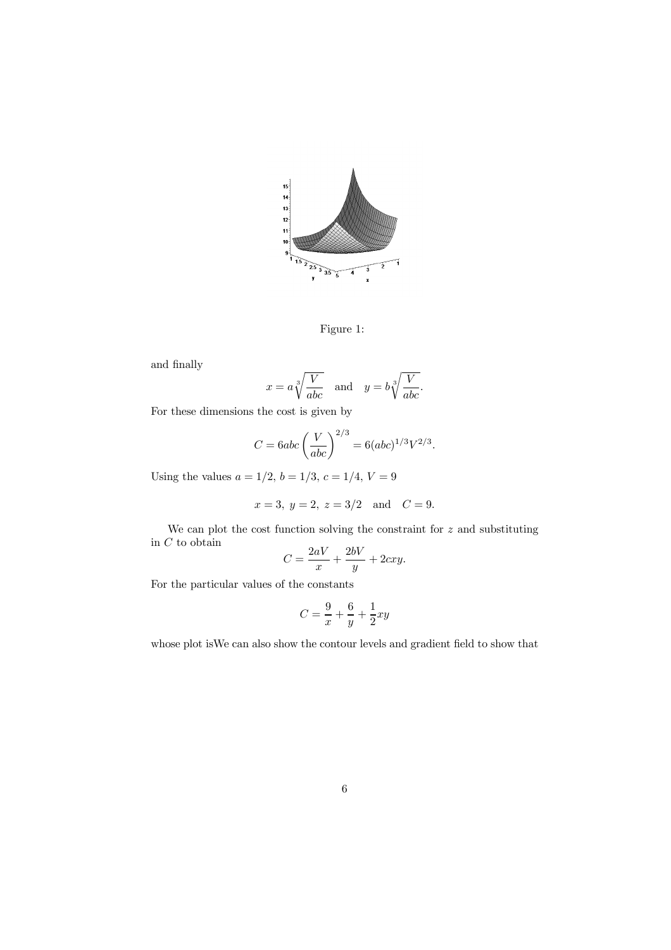

Figure 1:

and finally

$$
x = a \sqrt[3]{\frac{V}{abc}}
$$
 and  $y = b \sqrt[3]{\frac{V}{abc}}$ .

For these dimensions the cost is given by

$$
C = 6abc \left(\frac{V}{abc}\right)^{2/3} = 6(abc)^{1/3}V^{2/3}.
$$

Using the values  $a = 1/2$ ,  $b = 1/3$ ,  $c = 1/4$ ,  $V = 9$ 

$$
x = 3, y = 2, z = 3/2
$$
 and  $C = 9$ .

We can plot the cost function solving the constraint for  $z$  and substituting in  $\cal C$  to obtain

$$
C = \frac{2aV}{x} + \frac{2bV}{y} + 2cxy.
$$

For the particular values of the constants

$$
C = \frac{9}{x} + \frac{6}{y} + \frac{1}{2}xy
$$

whose plot isWe can also show the contour levels and gradient field to show that